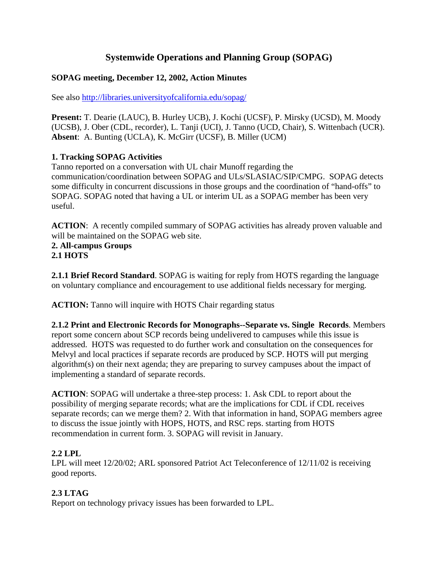# **Systemwide Operations and Planning Group (SOPAG)**

#### **SOPAG meeting, December 12, 2002, Action Minutes**

See also http://libraries.universityofcalifornia.edu/sopag/

**Present:** T. Dearie (LAUC), B. Hurley UCB), J. Kochi (UCSF), P. Mirsky (UCSD), M. Moody (UCSB), J. Ober (CDL, recorder), L. Tanji (UCI), J. Tanno (UCD, Chair), S. Wittenbach (UCR). **Absent**: A. Bunting (UCLA), K. McGirr (UCSF), B. Miller (UCM)

## **1. Tracking SOPAG Activities**

Tanno reported on a conversation with UL chair Munoff regarding the communication/coordination between SOPAG and ULs/SLASIAC/SIP/CMPG. SOPAG detects some difficulty in concurrent discussions in those groups and the coordination of "hand-offs" to SOPAG. SOPAG noted that having a UL or interim UL as a SOPAG member has been very useful.

**ACTION**: A recently compiled summary of SOPAG activities has already proven valuable and will be maintained on the SOPAG web site.

**2. All-campus Groups 2.1 HOTS**

**2.1.1 Brief Record Standard**. SOPAG is waiting for reply from HOTS regarding the language on voluntary compliance and encouragement to use additional fields necessary for merging.

**ACTION:** Tanno will inquire with HOTS Chair regarding status

**2.1.2 Print and Electronic Records for Monographs--Separate vs. Single Records**. Members report some concern about SCP records being undelivered to campuses while this issue is addressed. HOTS was requested to do further work and consultation on the consequences for Melvyl and local practices if separate records are produced by SCP. HOTS will put merging algorithm(s) on their next agenda; they are preparing to survey campuses about the impact of implementing a standard of separate records.

**ACTION**: SOPAG will undertake a three-step process: 1. Ask CDL to report about the possibility of merging separate records; what are the implications for CDL if CDL receives separate records; can we merge them? 2. With that information in hand, SOPAG members agree to discuss the issue jointly with HOPS, HOTS, and RSC reps. starting from HOTS recommendation in current form. 3. SOPAG will revisit in January.

#### **2.2 LPL**

LPL will meet 12/20/02; ARL sponsored Patriot Act Teleconference of 12/11/02 is receiving good reports.

# **2.3 LTAG**

Report on technology privacy issues has been forwarded to LPL.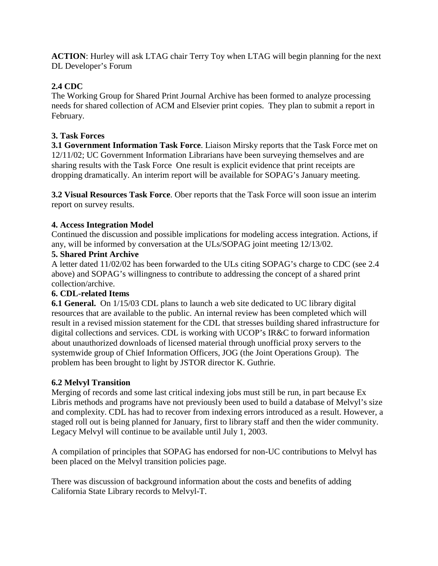**ACTION**: Hurley will ask LTAG chair Terry Toy when LTAG will begin planning for the next DL Developer's Forum

# **2.4 CDC**

The Working Group for Shared Print Journal Archive has been formed to analyze processing needs for shared collection of ACM and Elsevier print copies. They plan to submit a report in February.

## **3. Task Forces**

**3.1 Government Information Task Force**. Liaison Mirsky reports that the Task Force met on 12/11/02; UC Government Information Librarians have been surveying themselves and are sharing results with the Task Force One result is explicit evidence that print receipts are dropping dramatically. An interim report will be available for SOPAG's January meeting.

**3.2 Visual Resources Task Force**. Ober reports that the Task Force will soon issue an interim report on survey results.

## **4. Access Integration Model**

Continued the discussion and possible implications for modeling access integration. Actions, if any, will be informed by conversation at the ULs/SOPAG joint meeting 12/13/02.

#### **5. Shared Print Archive**

A letter dated 11/02/02 has been forwarded to the ULs citing SOPAG's charge to CDC (see 2.4 above) and SOPAG's willingness to contribute to addressing the concept of a shared print collection/archive.

#### **6. CDL-related Items**

**6.1 General.** On 1/15/03 CDL plans to launch a web site dedicated to UC library digital resources that are available to the public. An internal review has been completed which will result in a revised mission statement for the CDL that stresses building shared infrastructure for digital collections and services. CDL is working with UCOP's IR&C to forward information about unauthorized downloads of licensed material through unofficial proxy servers to the systemwide group of Chief Information Officers, JOG (the Joint Operations Group). The problem has been brought to light by JSTOR director K. Guthrie.

# **6.2 Melvyl Transition**

Merging of records and some last critical indexing jobs must still be run, in part because Ex Libris methods and programs have not previously been used to build a database of Melvyl's size and complexity. CDL has had to recover from indexing errors introduced as a result. However, a staged roll out is being planned for January, first to library staff and then the wider community. Legacy Melvyl will continue to be available until July 1, 2003.

A compilation of principles that SOPAG has endorsed for non-UC contributions to Melvyl has been placed on the Melvyl transition policies page.

There was discussion of background information about the costs and benefits of adding California State Library records to Melvyl-T.